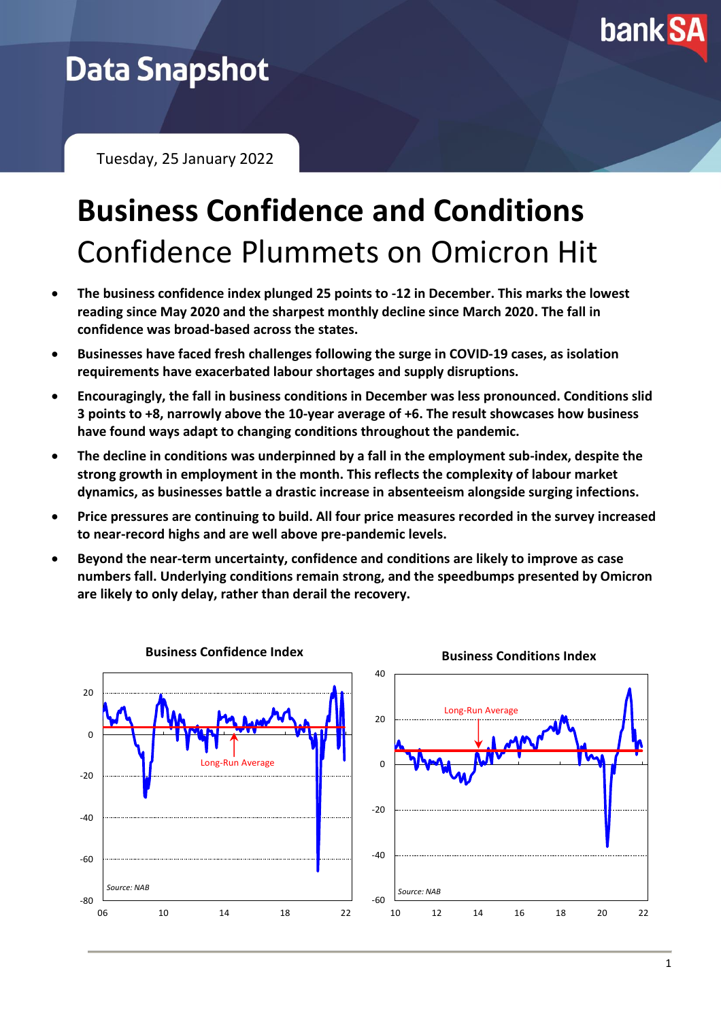

## **Data Snapshot**

Tuesday, 25 January 2022

# **Business Confidence and Conditions** Confidence Plummets on Omicron Hit

- **The business confidence index plunged 25 points to -12 in December. This marks the lowest reading since May 2020 and the sharpest monthly decline since March 2020. The fall in confidence was broad-based across the states.**
- **Businesses have faced fresh challenges following the surge in COVID-19 cases, as isolation requirements have exacerbated labour shortages and supply disruptions.**
- **Encouragingly, the fall in business conditions in December was less pronounced. Conditions slid 3 points to +8, narrowly above the 10-year average of +6. The result showcases how business have found ways adapt to changing conditions throughout the pandemic.**
- **The decline in conditions was underpinned by a fall in the employment sub-index, despite the strong growth in employment in the month. This reflects the complexity of labour market dynamics, as businesses battle a drastic increase in absenteeism alongside surging infections.**
- **Price pressures are continuing to build. All four price measures recorded in the survey increased to near-record highs and are well above pre-pandemic levels.**
- **Beyond the near-term uncertainty, confidence and conditions are likely to improve as case numbers fall. Underlying conditions remain strong, and the speedbumps presented by Omicron are likely to only delay, rather than derail the recovery.**

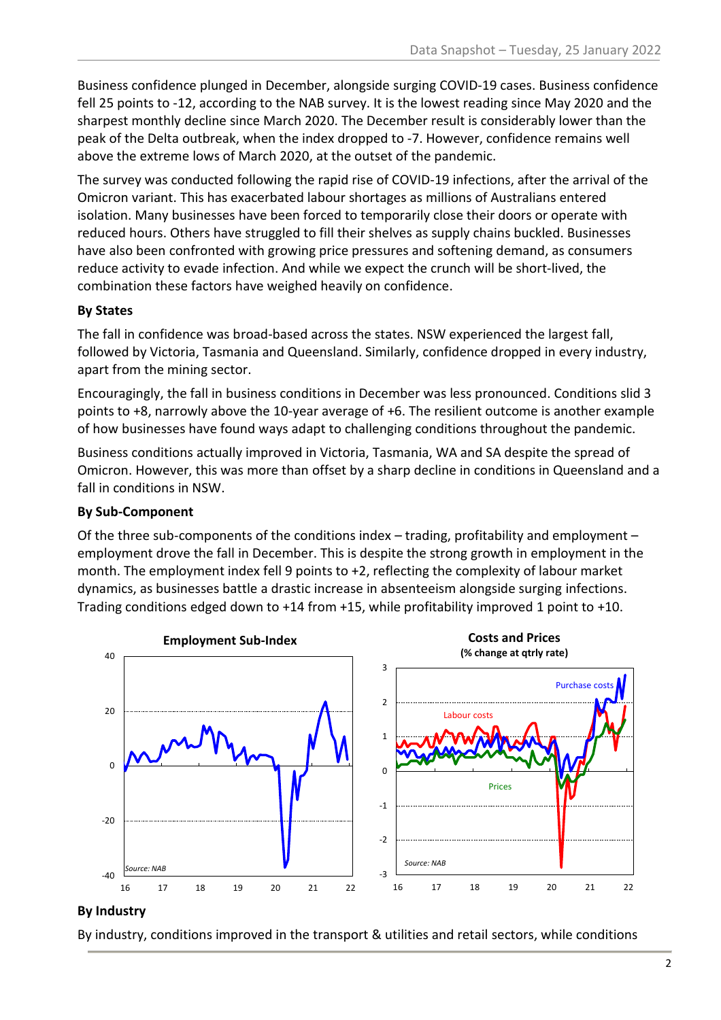Business confidence plunged in December, alongside surging COVID-19 cases. Business confidence fell 25 points to -12, according to the NAB survey. It is the lowest reading since May 2020 and the sharpest monthly decline since March 2020. The December result is considerably lower than the peak of the Delta outbreak, when the index dropped to -7. However, confidence remains well above the extreme lows of March 2020, at the outset of the pandemic.

The survey was conducted following the rapid rise of COVID-19 infections, after the arrival of the Omicron variant. This has exacerbated labour shortages as millions of Australians entered isolation. Many businesses have been forced to temporarily close their doors or operate with reduced hours. Others have struggled to fill their shelves as supply chains buckled. Businesses have also been confronted with growing price pressures and softening demand, as consumers reduce activity to evade infection. And while we expect the crunch will be short-lived, the combination these factors have weighed heavily on confidence.

### **By States**

The fall in confidence was broad-based across the states. NSW experienced the largest fall, followed by Victoria, Tasmania and Queensland. Similarly, confidence dropped in every industry, apart from the mining sector.

Encouragingly, the fall in business conditions in December was less pronounced. Conditions slid 3 points to +8, narrowly above the 10-year average of +6. The resilient outcome is another example of how businesses have found ways adapt to challenging conditions throughout the pandemic.

Business conditions actually improved in Victoria, Tasmania, WA and SA despite the spread of Omicron. However, this was more than offset by a sharp decline in conditions in Queensland and a fall in conditions in NSW.

#### **By Sub-Component**

Of the three sub-components of the conditions index – trading, profitability and employment – employment drove the fall in December. This is despite the strong growth in employment in the month. The employment index fell 9 points to +2, reflecting the complexity of labour market dynamics, as businesses battle a drastic increase in absenteeism alongside surging infections. Trading conditions edged down to +14 from +15, while profitability improved 1 point to +10.



#### **By Industry**

By industry, conditions improved in the transport & utilities and retail sectors, while conditions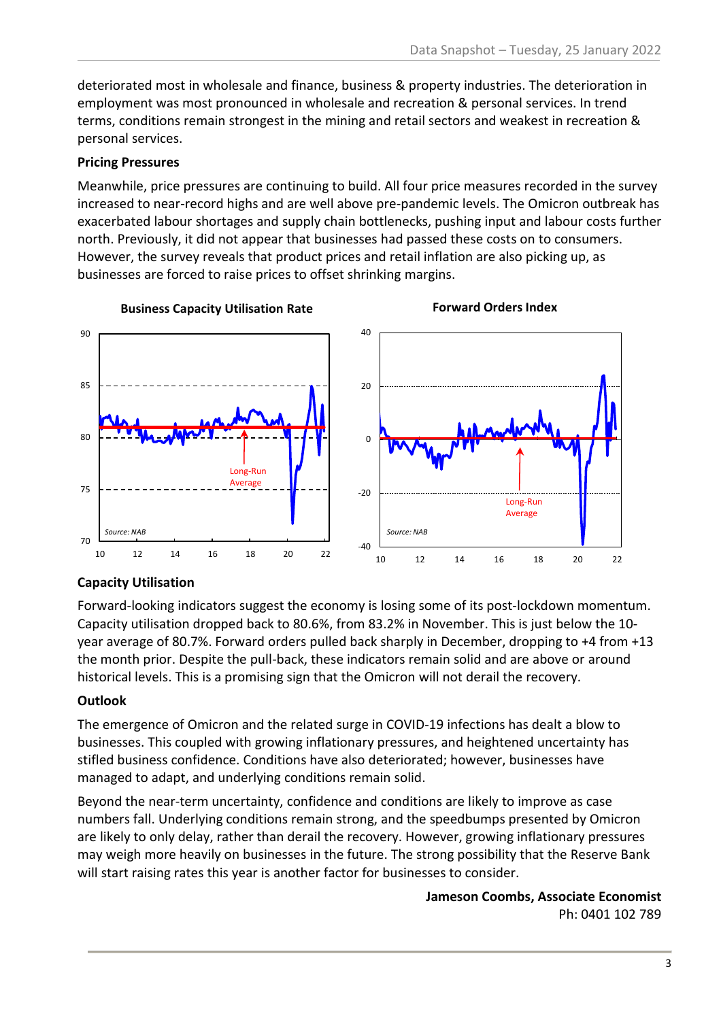deteriorated most in wholesale and finance, business & property industries. The deterioration in employment was most pronounced in wholesale and recreation & personal services. In trend terms, conditions remain strongest in the mining and retail sectors and weakest in recreation & personal services.

#### **Pricing Pressures**

Meanwhile, price pressures are continuing to build. All four price measures recorded in the survey increased to near-record highs and are well above pre-pandemic levels. The Omicron outbreak has exacerbated labour shortages and supply chain bottlenecks, pushing input and labour costs further north. Previously, it did not appear that businesses had passed these costs on to consumers. However, the survey reveals that product prices and retail inflation are also picking up, as businesses are forced to raise prices to offset shrinking margins.



#### **Capacity Utilisation**

Forward-looking indicators suggest the economy is losing some of its post-lockdown momentum. Capacity utilisation dropped back to 80.6%, from 83.2% in November. This is just below the 10 year average of 80.7%. Forward orders pulled back sharply in December, dropping to +4 from +13 the month prior. Despite the pull-back, these indicators remain solid and are above or around historical levels. This is a promising sign that the Omicron will not derail the recovery.

#### **Outlook**

The emergence of Omicron and the related surge in COVID-19 infections has dealt a blow to businesses. This coupled with growing inflationary pressures, and heightened uncertainty has stifled business confidence. Conditions have also deteriorated; however, businesses have managed to adapt, and underlying conditions remain solid.

Beyond the near-term uncertainty, confidence and conditions are likely to improve as case numbers fall. Underlying conditions remain strong, and the speedbumps presented by Omicron are likely to only delay, rather than derail the recovery. However, growing inflationary pressures may weigh more heavily on businesses in the future. The strong possibility that the Reserve Bank will start raising rates this year is another factor for businesses to consider.

> **Jameson Coombs, Associate Economist** Ph: 0401 102 789